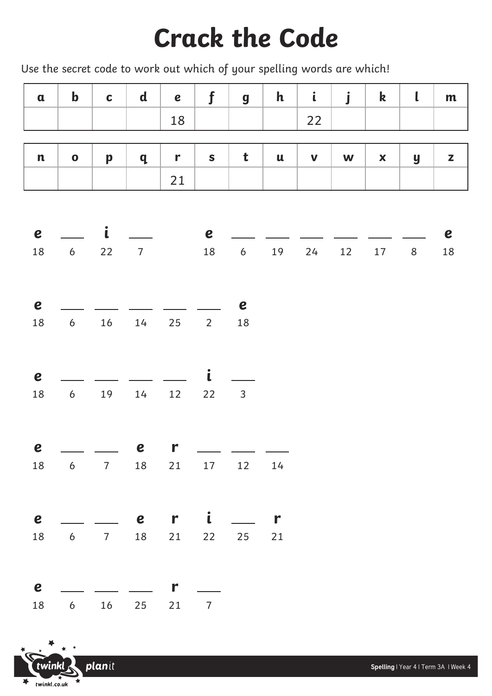## **Crack the Code**

Use the secret code to work out which of your spelling words are which!

| $\mathbf a$                | $\mathbf b$        | $\mathbf C$  | $\mathbf d$    | $\boldsymbol{e}$ | $\mathbf f$      | $\boldsymbol{g}$ | $\mathbf{h}$             | $\mathbf{i}$ | j  | $\mathbf k$        | $\mathsf{L}$     | m                |
|----------------------------|--------------------|--------------|----------------|------------------|------------------|------------------|--------------------------|--------------|----|--------------------|------------------|------------------|
|                            |                    |              |                | 18               |                  |                  |                          | 22           |    |                    |                  |                  |
|                            |                    |              |                |                  |                  |                  |                          |              |    |                    |                  |                  |
| $\mathbf n$                | $\mathbf 0$        | $\mathbf p$  | $\mathbf q$    | $\mathbf{r}$     | $\mathbf S$      | t                | $\mathbf u$              | $\mathbf v$  | W  | $\pmb{\mathsf{x}}$ | $\boldsymbol{y}$ | z                |
|                            |                    |              |                | 21               |                  |                  |                          |              |    |                    |                  |                  |
|                            |                    |              |                |                  |                  |                  |                          |              |    |                    |                  |                  |
| $\boldsymbol{e}$           |                    | $\mathbf{i}$ |                |                  | $\boldsymbol{e}$ |                  |                          |              |    |                    |                  | $\boldsymbol{e}$ |
| 18                         | $\boldsymbol{6}$   | $22$         | $\overline{7}$ |                  | 18               | $\boldsymbol{6}$ | 19                       | 24           | 12 | 17                 | $\,8\,$          | $18\,$           |
|                            |                    |              |                |                  |                  |                  |                          |              |    |                    |                  |                  |
|                            |                    |              |                |                  |                  |                  |                          |              |    |                    |                  |                  |
| $\boldsymbol{e}$<br>$18\,$ | $\boldsymbol{6}$   | 16           | $14$           | 25               | $2\overline{ }$  | e<br>18          |                          |              |    |                    |                  |                  |
|                            |                    |              |                |                  |                  |                  |                          |              |    |                    |                  |                  |
|                            |                    |              |                |                  |                  |                  |                          |              |    |                    |                  |                  |
| $\boldsymbol{e}$           |                    |              |                |                  | $\mathbf{i}$     |                  |                          |              |    |                    |                  |                  |
| 18                         | $\boldsymbol{6}$   | 19           | $14$           | 12               | 22               | $\mathsf{3}$     |                          |              |    |                    |                  |                  |
|                            |                    |              |                |                  |                  |                  |                          |              |    |                    |                  |                  |
| $\boldsymbol{e}$           |                    | $\sim$       | $\mathbf{e}$   | $\mathbf{r}$     |                  |                  | $\overline{\phantom{a}}$ |              |    |                    |                  |                  |
| 18                         | 6 7 18 21 17 12 14 |              |                |                  |                  |                  |                          |              |    |                    |                  |                  |
|                            |                    |              |                |                  |                  |                  |                          |              |    |                    |                  |                  |
|                            |                    |              |                |                  |                  |                  |                          |              |    |                    |                  |                  |
| $\mathbf e$                |                    |              |                | $er$ $i$ $-$     |                  |                  | $\mathbf{r}$             |              |    |                    |                  |                  |
| 18                         | 6 7 18 21 22 25 21 |              |                |                  |                  |                  |                          |              |    |                    |                  |                  |
|                            |                    |              |                |                  |                  |                  |                          |              |    |                    |                  |                  |
| $\boldsymbol{e}$           |                    |              |                | $\mathbf{r}$     |                  |                  |                          |              |    |                    |                  |                  |
| 18                         |                    |              | 6 16 25 21     |                  | $\overline{7}$   |                  |                          |              |    |                    |                  |                  |

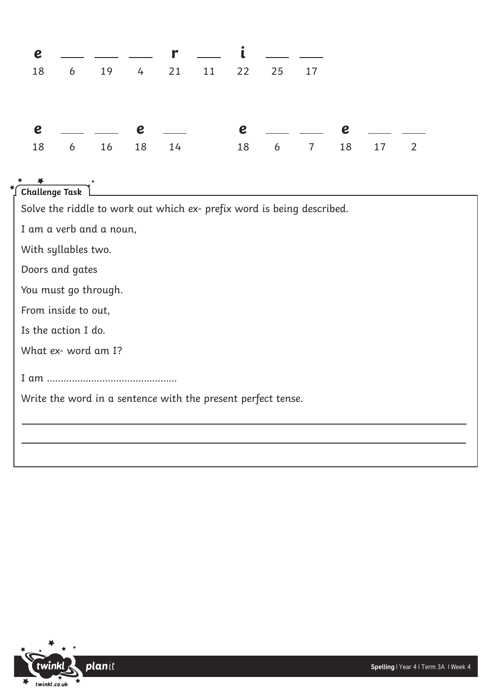|  |  | $e$ $\_\_$ $\_\_$ $r$ $\_\_$ $i$ $\_\_$ $\_\_$   |  |  |  |
|--|--|--------------------------------------------------|--|--|--|
|  |  | 18   6   19   4   21   11   22   25   17         |  |  |  |
|  |  |                                                  |  |  |  |
|  |  |                                                  |  |  |  |
|  |  | $e$ _ _ e _ e _ _ e _ _ _ e _                    |  |  |  |
|  |  | 18   6   16   18   14   18   6   7   18   17   2 |  |  |  |
|  |  |                                                  |  |  |  |

## **Challenge Task**

Solve the riddle to work out which ex- prefix word is being described.

I am a verb and a noun,

With syllables two.

Doors and gates

You must go through.

From inside to out,

Is the action I do.

What ex- word am I?

I am ………………………………………..

Write the word in a sentence with the present perfect tense.

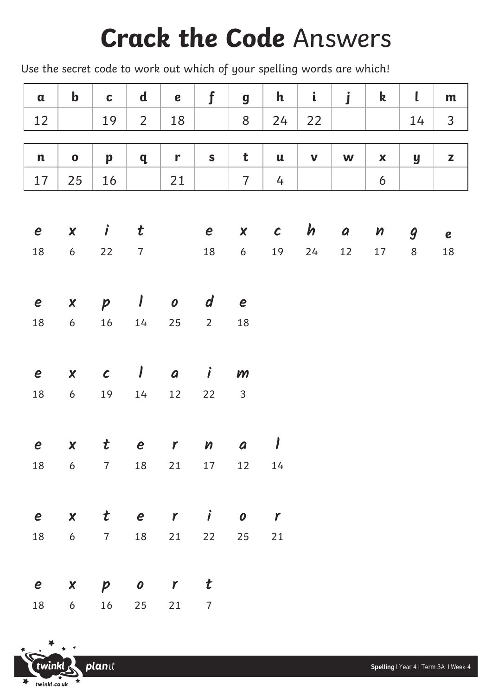## **Crack the Code** Answers

Use the secret code to work out which of your spelling words are which!

| $\mathbf a$      | $\mathbf b$      | $\mathbf c$      | $\mathbf d$      | e                | $\mathbf f$                    | $\boldsymbol{g}$ | $\mathbf h$    | $\mathbf i$ | $\mathbf{j}$     | $\boldsymbol{\mathsf{k}}$  | $\mathbf l$      | m            |
|------------------|------------------|------------------|------------------|------------------|--------------------------------|------------------|----------------|-------------|------------------|----------------------------|------------------|--------------|
| 12               |                  | 19               | $\overline{2}$   | 18               |                                | 8                | 24             | 22          |                  |                            | 14               | $\mathsf{3}$ |
|                  |                  |                  |                  |                  |                                |                  |                |             |                  |                            |                  |              |
| $\mathbf n$      | $\mathbf 0$      | p                | $\mathbf{q}$     | r                | $\mathbf S$                    | t                | $\mathbf u$    | $\mathbf v$ | W                | $\boldsymbol{\mathsf{X}}$  | y                | Z            |
| 17               | 25               | 16               |                  | 21               |                                | $\overline{7}$   | $\overline{4}$ |             |                  | $\boldsymbol{6}$           |                  |              |
|                  |                  |                  |                  |                  |                                |                  |                |             |                  |                            |                  |              |
| $\boldsymbol{e}$ | $\boldsymbol{X}$ | $\boldsymbol{j}$ | $\boldsymbol{t}$ |                  | $\boldsymbol{e}$               | $\boldsymbol{x}$ | $\mathcal{C}$  | $\bm{h}$    | $\boldsymbol{a}$ | $\boldsymbol{\mathcal{V}}$ | $\boldsymbol{g}$ | $\mathbf e$  |
| 18               | $\boldsymbol{6}$ | 22               | $\overline{7}$   |                  | 18                             | $\boldsymbol{6}$ | 19             | 24          | 12               | $17\,$                     | $\,8\,$          | 18           |
|                  |                  |                  |                  |                  |                                |                  |                |             |                  |                            |                  |              |
| $\boldsymbol{e}$ | $\boldsymbol{x}$ | $\boldsymbol{p}$ | $\prime$         | $\boldsymbol{o}$ | $\boldsymbol{d}$               | $\boldsymbol{e}$ |                |             |                  |                            |                  |              |
| 18               | $\boldsymbol{6}$ | 16               | 14               | 25               | $\overline{2}$                 | 18               |                |             |                  |                            |                  |              |
|                  |                  |                  |                  |                  |                                |                  |                |             |                  |                            |                  |              |
| $\boldsymbol{e}$ | $\boldsymbol{x}$ | $\mathcal C$     | $\sqrt{2}$       | a                | $\boldsymbol{j}$               | $\mathbf{m}$     |                |             |                  |                            |                  |              |
| 18               | $\boldsymbol{6}$ | 19               | 14               | 12               | 22                             | $\overline{3}$   |                |             |                  |                            |                  |              |
|                  |                  |                  |                  |                  |                                |                  |                |             |                  |                            |                  |              |
|                  |                  |                  |                  |                  |                                |                  |                |             |                  |                            |                  |              |
| $\boldsymbol{e}$ | $\boldsymbol{X}$ | $\boldsymbol{t}$ | $\boldsymbol{e}$ | $\mathbf{r}$     | $\boldsymbol{\mathcal{W}}$     | a                | $\prime$       |             |                  |                            |                  |              |
|                  | 18 6             |                  | $7 \qquad 18$    |                  | 21 17                          | 12  14           |                |             |                  |                            |                  |              |
|                  |                  |                  |                  |                  |                                |                  |                |             |                  |                            |                  |              |
| $\boldsymbol{e}$ | $\boldsymbol{x}$ | $\boldsymbol{t}$ | e r              |                  | $\overrightarrow{\phantom{a}}$ | $\boldsymbol{o}$ | $\mathbf{r}$   |             |                  |                            |                  |              |
| 18               | $6\overline{)}$  | $7 \qquad 18$    |                  | 21               | 22                             | 25               | $21$           |             |                  |                            |                  |              |
|                  |                  |                  |                  |                  |                                |                  |                |             |                  |                            |                  |              |
| $\boldsymbol{e}$ | $\boldsymbol{x}$ | $\boldsymbol{p}$ | $\boldsymbol{o}$ | $\mathbf{r}$     | $\boldsymbol{t}$               |                  |                |             |                  |                            |                  |              |
| 18               | $6\overline{6}$  | 16               | 25               | 21               | $\overline{7}$                 |                  |                |             |                  |                            |                  |              |